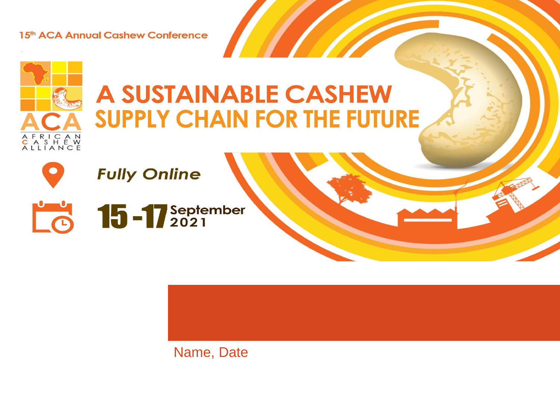15th ACA Annual Cashew Conference

### **A SUSTAINABLE CASHEW SUPPLY CHAIN FOR THE FUTURE**



AFRICAN<br>CASHEW<br>ALLIANCE



Name, Date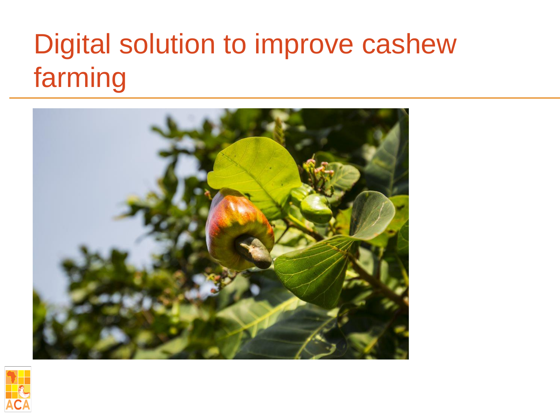## Digital solution to improve cashew farming



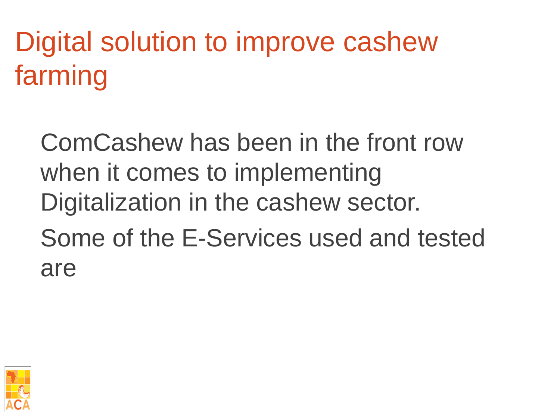# Digital solution to improve cashew farming

ComCashew has been in the front row when it comes to implementing Digitalization in the cashew sector. Some of the E-Services used and tested are

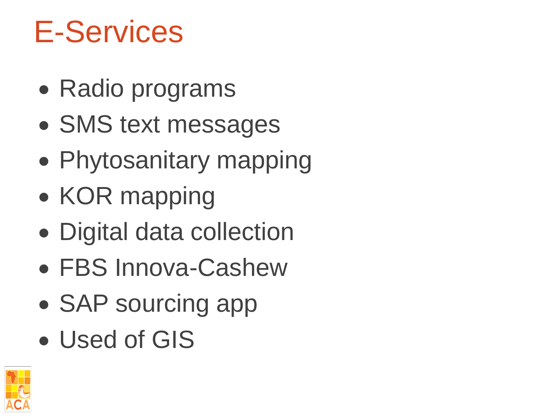# E-Services

- Radio programs
- SMS text messages
- Phytosanitary mapping
- KOR mapping
- Digital data collection
- FBS Innova-Cashew
- SAP sourcing app
- Used of GIS

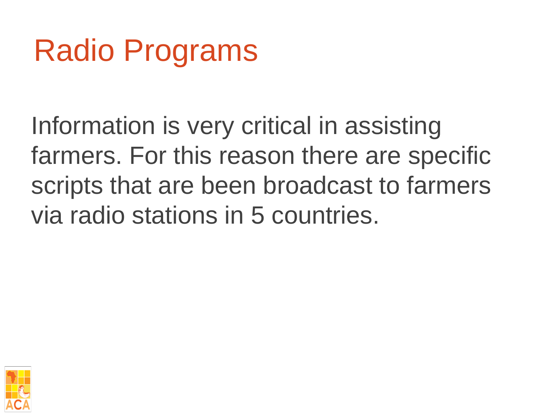# Radio Programs

Information is very critical in assisting farmers. For this reason there are specific scripts that are been broadcast to farmers via radio stations in 5 countries.

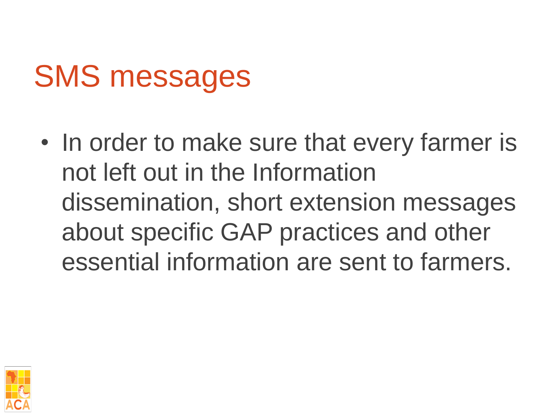# SMS messages

• In order to make sure that every farmer is not left out in the Information dissemination, short extension messages about specific GAP practices and other essential information are sent to farmers.

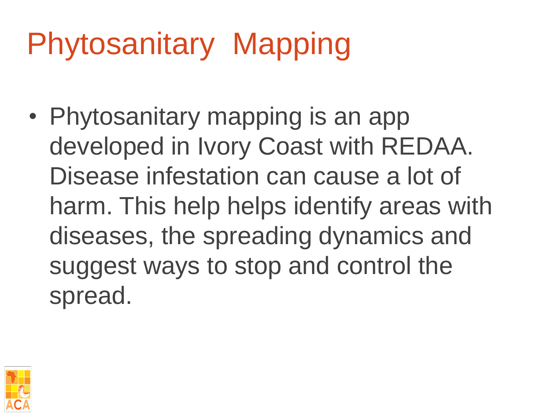# Phytosanitary Mapping

• Phytosanitary mapping is an app developed in Ivory Coast with REDAA. Disease infestation can cause a lot of harm. This help helps identify areas with diseases, the spreading dynamics and suggest ways to stop and control the spread.

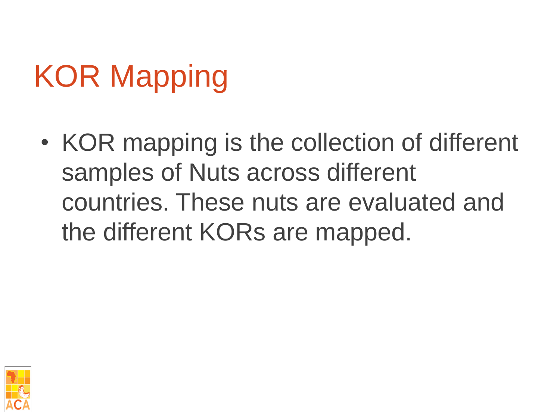# KOR Mapping

• KOR mapping is the collection of different samples of Nuts across different countries. These nuts are evaluated and the different KORs are mapped.

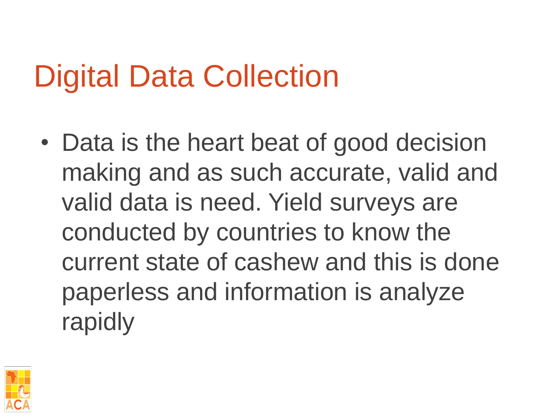# Digital Data Collection

• Data is the heart beat of good decision making and as such accurate, valid and valid data is need. Yield surveys are conducted by countries to know the current state of cashew and this is done paperless and information is analyze rapidly

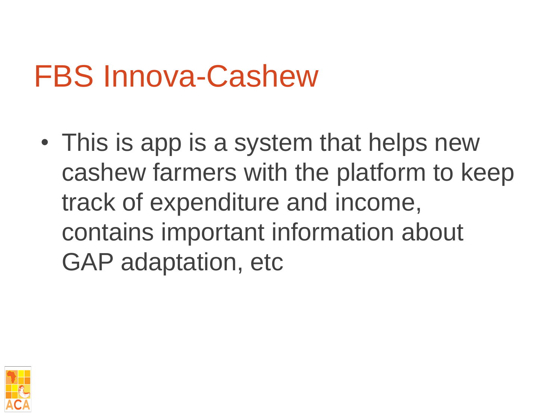# FBS Innova-Cashew

• This is app is a system that helps new cashew farmers with the platform to keep track of expenditure and income, contains important information about GAP adaptation, etc

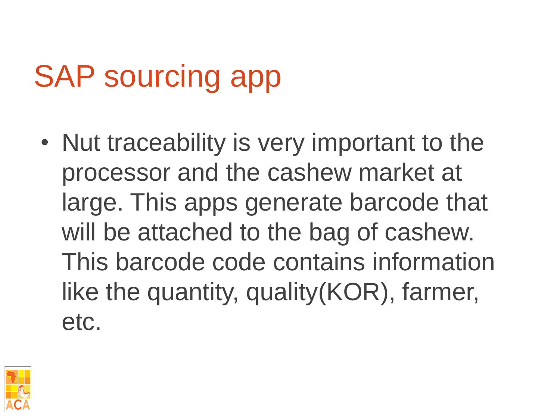# SAP sourcing app

• Nut traceability is very important to the processor and the cashew market at large. This apps generate barcode that will be attached to the bag of cashew. This barcode code contains information like the quantity, quality(KOR), farmer, etc.

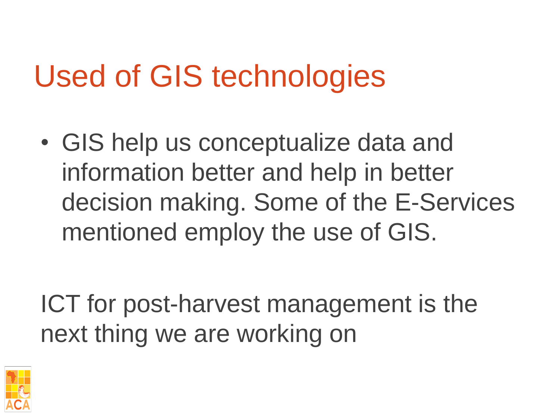# Used of GIS technologies

• GIS help us conceptualize data and information better and help in better decision making. Some of the E-Services mentioned employ the use of GIS.

ICT for post-harvest management is the next thing we are working on

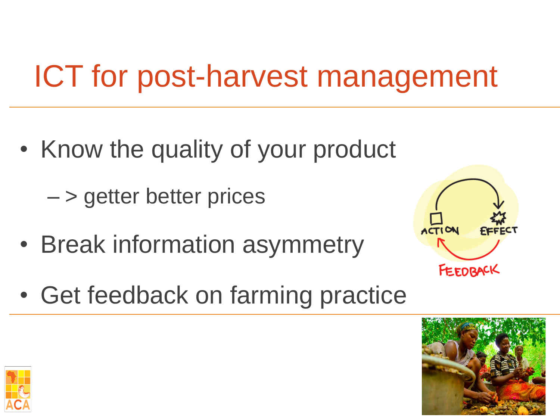# ICT for post-harvest management

• Know the quality of your product

– > getter better prices

• Break information asymmetry



• Get feedback on farming practice



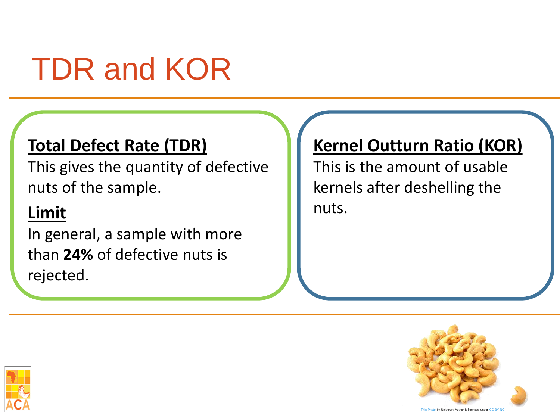# TDR and KOR

#### **Total Defect Rate (TDR)**

This gives the quantity of defective nuts of the sample.

### **Limit**

In general, a sample with more than **24%** of defective nuts is rejected.

#### **Kernel Outturn Ratio (KOR)**

This is the amount of usable kernels after deshelling the nuts.



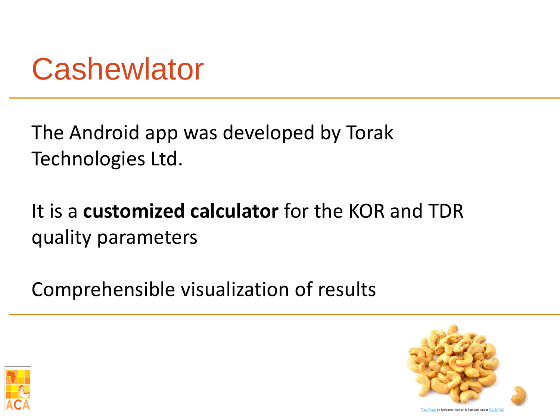## **Cashewlator**

The Android app was developed by Torak Technologies Ltd.

It is a **customized calculator** for the KOR and TDR quality parameters

Comprehensible visualization of results



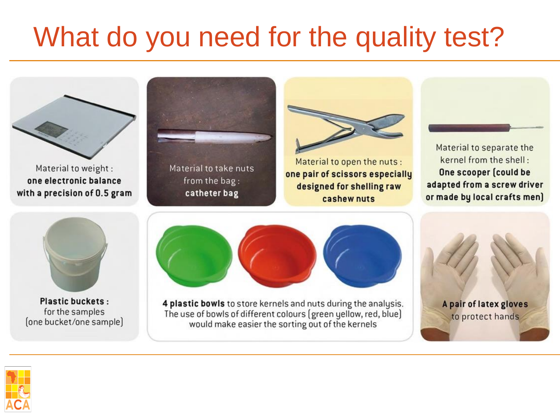### What do you need for the quality test?